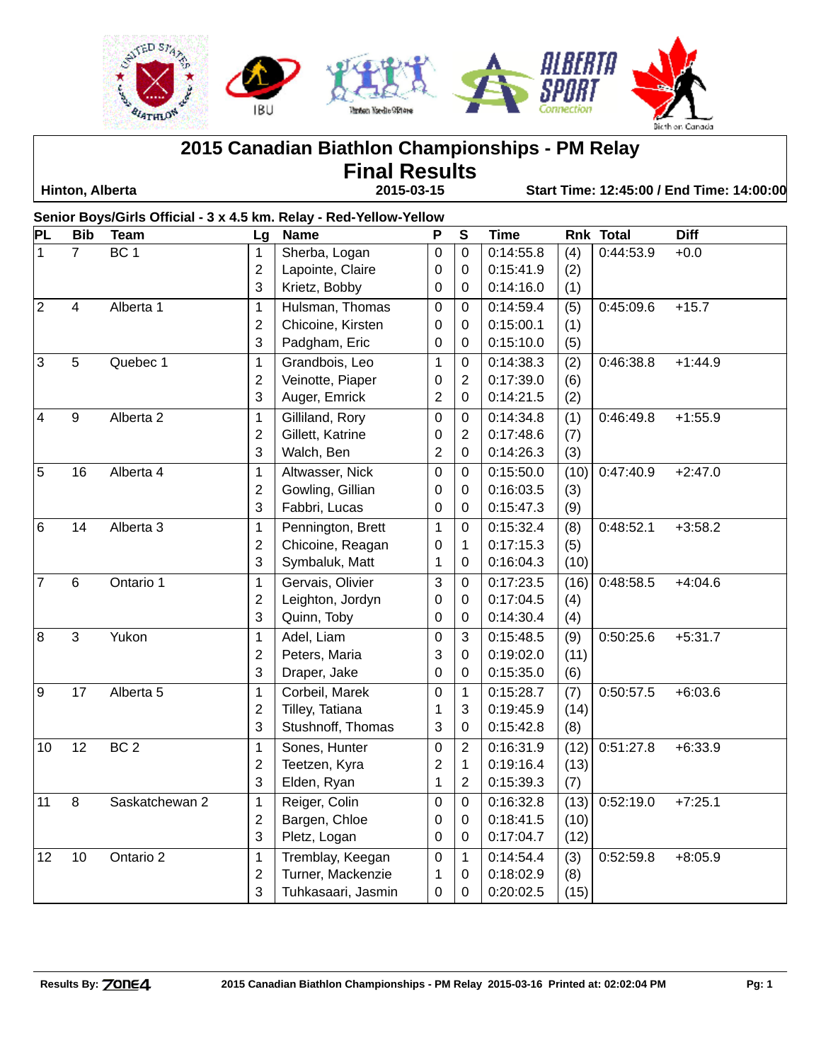

**2015 Canadian Biathlon Championships - PM Relay**

**Final Results**

 **Hinton, Alberta 2015-03-15 Start Time: 12:45:00 / End Time: 14:00:00**

**Senior Boys/Girls Official - 3 x 4.5 km. Relay - Red-Yellow-Yellow PL Bib Team Lg Name P S Time Rnk Total Diff** 7 BC 1 | 1 | Sherba, Logan | 0 | 0 | 0:14:55.8 | (4) | 0:44:53.9 +0.0 2 | Lapointe, Claire | 0 | 0 | 0:15:41.9 | (2) 3 | Krietz, Bobby  $\begin{bmatrix} 0 & 0 & 0.14:16.0 \end{bmatrix}$  (1) 2 4 Alberta 1 1 Hulsman, Thomas 0 0 0:14:59.4 (5) 0:45:09.6 +15.7 2 Chicoine, Kirsten | 0 | 0 | 0:15:00.1 | (1) 3 | Padgham, Eric  $\begin{array}{|c|c|c|c|c|c|c|c|c|} \hline 3 & 0.15:10.0 & (5) \hline \end{array}$ 3 5 Quebec 1 1 Grandbois, Leo 1 0 0:14:38.3 (2) 0:46:38.8 +1:44.9 2 Veinotte, Piaper | 0 | 2 | 0:17:39.0 (6) 3 | Auger, Emrick | 2 | 0 | 0:14:21.5 | (2) 4 9 Alberta 2 1 Gilliland, Rory 0 0 0:14:34.8 (1) 0:46:49.8 +1:55.9 2 | Gillett, Katrine | 0 | 2 | 0:17:48.6 | (7) 3 | Walch, Ben  $\vert$  2 | 0 | 0:14:26.3 | (3) 5 16 Alberta 4 1 Altwasser, Nick 0 0 0:15:50.0 (10) 0:47:40.9 +2:47.0 2 | Gowling, Gillian | 0 | 0 | 0:16:03.5 | (3) 3 | Fabbri, Lucas | 0 | 0 | 0:15:47.3 | (9) 6 14 Alberta 3 1 Pennington, Brett 1 0 0:15:32.4 (8) 0:48:52.1 +3:58.2 2 Chicoine, Reagan 1 0 1 0:17:15.3 (5) 3 Symbaluk, Matt 1 0 0:16:04.3 (10) 7 6 Ontario 1 1 Gervais, Olivier 3 0 0:17:23.5 (16) 0:48:58.5 +4:04.6 2 Leighton, Jordyn 0 0 0:17:04.5 (4) 3 Quinn, Toby 0 0 0:14:30.4 (4) 8 3 Yukon | 1 |Adel, Liam | 0 |3 |0:15:48.5 |(9) |0:50:25.6 +5:31.7 2 | Peters, Maria  $\begin{array}{|c|c|c|c|c|c|c|c|} \hline 2 & 0 & 0.19:02.0 & (11) \hline \end{array}$ 3 Draper, Jake 0 0 0:15:35.0 (6) 9 17 Alberta 5 1 Corbeil, Marek 0 1 0:15:28.7 (7) 0:50:57.5 +6:03.6 2 Tilley, Tatiana 1 3 0:19:45.9 (14) 3 | Stushnoff, Thomas |  $3$  | 0 | 0:15:42.8 | (8) 10 12 BC 2 1 Sones, Hunter 0 2 0:16:31.9 (12) 0:51:27.8 +6:33.9 2 Teetzen, Kyra 2 1 0:19:16.4 (13) 3 | Elden, Ryan  $\begin{array}{|c|c|c|c|c|c|c|c|c|} \hline 3 & 2 & 0:15:39.3 & (7) \ \hline \end{array}$ 11 8 Saskatchewan 2 1 Reiger, Colin 0 0 0:16:32.8 (13) 0:52:19.0 +7:25.1 2 Bargen, Chloe 0 0 0:18:41.5 (10) 3 | Pletz, Logan | 0 | 0 | 0:17:04.7 | (12) 12 10 Ontario 2 1 Tremblay, Keegan 0 1 0:14:54.4 (3) 0:52:59.8 +8:05.9 2 Turner, Mackenzie 1 0 0:18:02.9 (8) 3 Tuhkasaari, Jasmin 0 0 0:20:02.5 (15)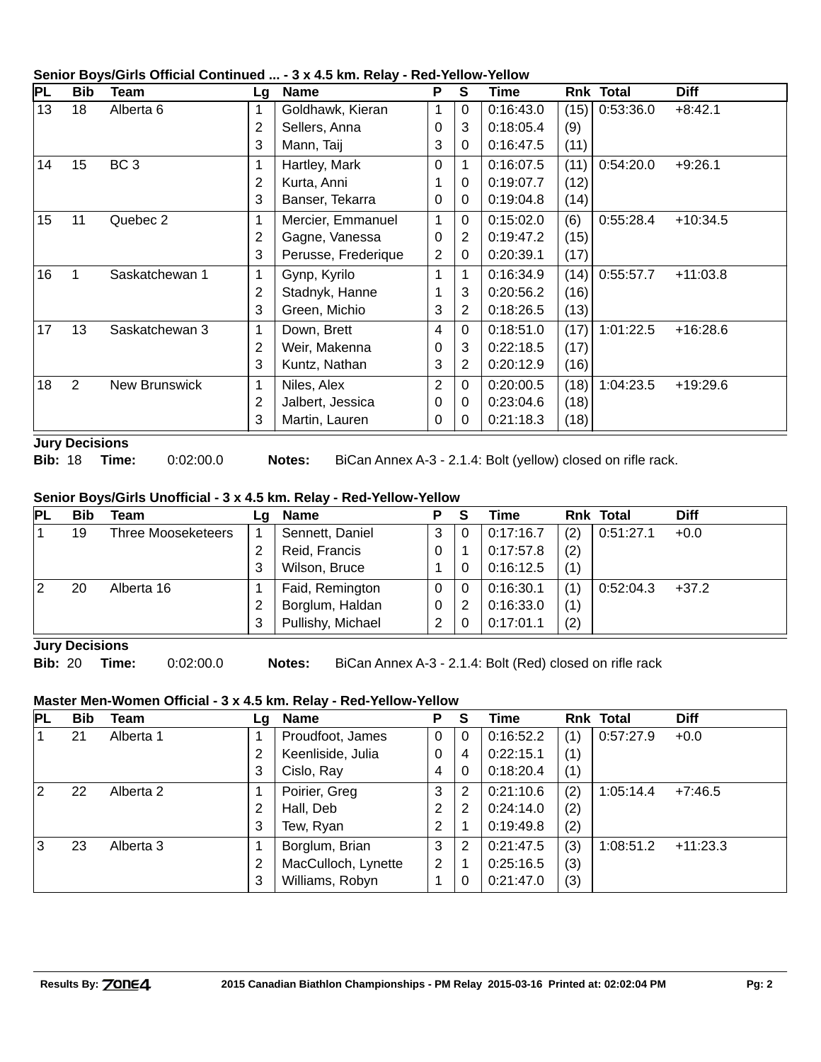|                 | Senior Dovs/Girls Official Continued  - 3 x 4.5 Kin. Relay - Red-Tellow-Tellow |                      |                |                     |                |                |           |      |                  |             |  |
|-----------------|--------------------------------------------------------------------------------|----------------------|----------------|---------------------|----------------|----------------|-----------|------|------------------|-------------|--|
| PL              | <b>Bib</b>                                                                     | <b>Team</b>          |                | Lg Name             | P              | S.             | Time      |      | <b>Rnk Total</b> | <b>Diff</b> |  |
| 13              | 18                                                                             | Alberta 6            | 1              | Goldhawk, Kieran    | 1              | 0              | 0:16:43.0 | (15) | 0:53:36.0        | $+8:42.1$   |  |
|                 |                                                                                |                      | 2              | Sellers, Anna       | 0              | 3              | 0:18:05.4 | (9)  |                  |             |  |
|                 |                                                                                |                      | 3              | Mann, Taij          | 3              | 0              | 0:16:47.5 | (11) |                  |             |  |
| 14              | 15                                                                             | BC <sub>3</sub>      | 1              | Hartley, Mark       | 0              |                | 0:16:07.5 | (11) | 0:54:20.0        | $+9:26.1$   |  |
|                 |                                                                                |                      | $\overline{c}$ | Kurta, Anni         | 1              | 0              | 0:19:07.7 | (12) |                  |             |  |
|                 |                                                                                |                      | 3              | Banser, Tekarra     | 0              | 0              | 0:19:04.8 | (14) |                  |             |  |
| 15 <sub>1</sub> | 11                                                                             | Quebec 2             | 1              | Mercier, Emmanuel   | 1              | $\Omega$       | 0:15:02.0 | (6)  | 0:55:28.4        | $+10:34.5$  |  |
|                 |                                                                                |                      | 2              | Gagne, Vanessa      | 0              | 2              | 0:19:47.2 | (15) |                  |             |  |
|                 |                                                                                |                      | 3              | Perusse, Frederique | 2              | 0              | 0:20:39.1 | (17) |                  |             |  |
| 16              | $\mathbf{1}$                                                                   | Saskatchewan 1       | 1              | Gynp, Kyrilo        | 1              |                | 0:16:34.9 | (14) | 0:55:57.7        | $+11:03.8$  |  |
|                 |                                                                                |                      | 2              | Stadnyk, Hanne      |                | 3              | 0:20:56.2 | (16) |                  |             |  |
|                 |                                                                                |                      | 3              | Green, Michio       | 3              | $\overline{2}$ | 0:18:26.5 | (13) |                  |             |  |
| 17              | 13                                                                             | Saskatchewan 3       | 1              | Down, Brett         | 4              | $\Omega$       | 0:18:51.0 | (17) | 1:01:22.5        | $+16:28.6$  |  |
|                 |                                                                                |                      | 2              | Weir, Makenna       | 0              | 3              | 0:22:18.5 | (17) |                  |             |  |
|                 |                                                                                |                      | 3              | Kuntz, Nathan       | 3              | $\overline{2}$ | 0:20:12.9 | (16) |                  |             |  |
| 18              | 2                                                                              | <b>New Brunswick</b> | 1              | Niles, Alex         | $\overline{2}$ | $\Omega$       | 0:20:00.5 | (18) | 1:04:23.5        | $+19:29.6$  |  |
|                 |                                                                                |                      | 2              | Jalbert, Jessica    | 0              | 0              | 0:23:04.6 | (18) |                  |             |  |
|                 |                                                                                |                      | 3              | Martin, Lauren      | 0              | 0              | 0:21:18.3 | (18) |                  |             |  |

## **Senior Boys/Girls Official Continued ... - 3 x 4.5 km. Relay - Red-Yellow-Yellow**

**Jury Decisions**

**Bib:** 18 **Time:** 0:02:00.0 **Notes:** BiCan Annex A-3 - 2.1.4: Bolt (yellow) closed on rifle rack.

## **Senior Boys/Girls Unofficial - 3 x 4.5 km. Relay - Red-Yellow-Yellow**

| <b>PL</b> | Bib | Team                      | La | Name              | Р | <b>S</b> | Time      |     | <b>Rnk Total</b> | <b>Diff</b> |
|-----------|-----|---------------------------|----|-------------------|---|----------|-----------|-----|------------------|-------------|
|           | 19  | <b>Three Mooseketeers</b> |    | Sennett, Daniel   | 3 |          | 0:17:16.7 | (2) | 0:51:27.1        | $+0.0$      |
|           |     |                           | 2  | Reid, Francis     | 0 |          | 0:17:57.8 | (2) |                  |             |
|           |     |                           | 3  | Wilson, Bruce     |   |          | 0:16:12.5 | (1) |                  |             |
| 2         | 20  | Alberta 16                |    | Faid, Remington   | 0 |          | 0:16:30.1 | (1) | 0:52:04.3        | $+37.2$     |
|           |     |                           | 2  | Borglum, Haldan   | 0 |          | 0:16:33.0 | (1) |                  |             |
|           |     |                           | 3  | Pullishy, Michael |   |          | 0:17:01.1 | (2) |                  |             |

**Jury Decisions**

**Bib:** 20 **Time:** 0:02:00.0 **Notes:** BiCan Annex A-3 - 2.1.4: Bolt (Red) closed on rifle rack

## **Master Men-Women Official - 3 x 4.5 km. Relay - Red-Yellow-Yellow**

| PL | <b>Bib</b> | Team      | Lg | <b>Name</b>         | P | S | Time      |     | <b>Rnk Total</b> | <b>Diff</b> |
|----|------------|-----------|----|---------------------|---|---|-----------|-----|------------------|-------------|
|    | 21         | Alberta 1 |    | Proudfoot, James    | 0 | 0 | 0:16:52.2 | (1) | 0:57:27.9        | $+0.0$      |
|    |            |           | 2  | Keenliside, Julia   | 0 | 4 | 0:22:15.1 | (1) |                  |             |
|    |            |           | 3  | Cislo, Ray          | 4 | 0 | 0:18:20.4 | (1) |                  |             |
| 12 | 22         | Alberta 2 | 1  | Poirier, Greg       | 3 | 2 | 0:21:10.6 | (2) | 1:05:14.4        | $+7:46.5$   |
|    |            |           | 2  | Hall, Deb           | 2 | 2 | 0:24:14.0 | (2) |                  |             |
|    |            |           | 3  | Tew, Ryan           | 2 |   | 0:19:49.8 | (2) |                  |             |
| l3 | 23         | Alberta 3 | 1  | Borglum, Brian      | 3 | 2 | 0:21:47.5 | (3) | 1:08:51.2        | $+11:23.3$  |
|    |            |           | 2  | MacCulloch, Lynette | 2 |   | 0:25:16.5 | (3) |                  |             |
|    |            |           | 3  | Williams, Robyn     |   |   | 0:21:47.0 | (3) |                  |             |